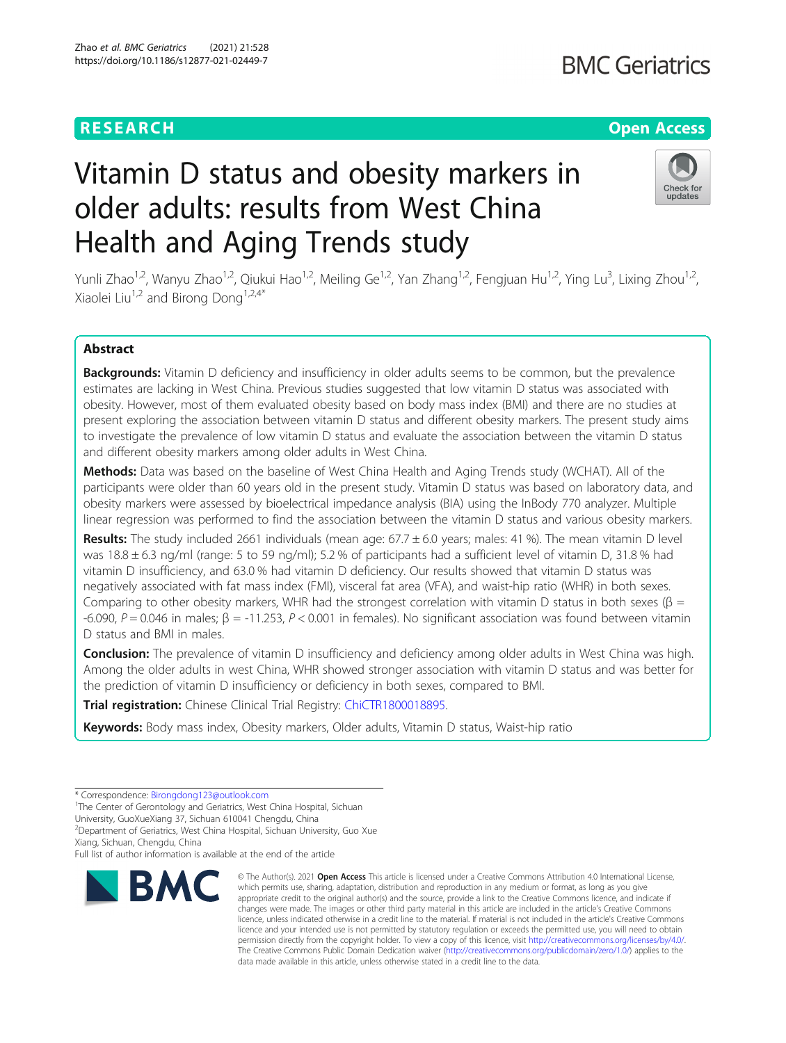# **RESEARCH CHEAR CHEAR CHEAR CHEAR CHEAR CHEAP CONTROL**

# Vitamin D status and obesity markers in older adults: results from West China Health and Aging Trends study



Yunli Zhao<sup>1,2</sup>, Wanyu Zhao<sup>1,2</sup>, Qiukui Hao<sup>1,2</sup>, Meiling Ge<sup>1,2</sup>, Yan Zhang<sup>1,2</sup>, Fengjuan Hu<sup>1,2</sup>, Ying Lu<sup>3</sup>, Lixing Zhou<sup>1,2</sup>, Xiaolei Liu<sup>1,2</sup> and Birong Dong<sup>1,2,4\*</sup>

# Abstract

Backgrounds: Vitamin D deficiency and insufficiency in older adults seems to be common, but the prevalence estimates are lacking in West China. Previous studies suggested that low vitamin D status was associated with obesity. However, most of them evaluated obesity based on body mass index (BMI) and there are no studies at present exploring the association between vitamin D status and different obesity markers. The present study aims to investigate the prevalence of low vitamin D status and evaluate the association between the vitamin D status and different obesity markers among older adults in West China.

Methods: Data was based on the baseline of West China Health and Aging Trends study (WCHAT). All of the participants were older than 60 years old in the present study. Vitamin D status was based on laboratory data, and obesity markers were assessed by bioelectrical impedance analysis (BIA) using the InBody 770 analyzer. Multiple linear regression was performed to find the association between the vitamin D status and various obesity markers.

Results: The study included 2661 individuals (mean age:  $67.7 \pm 6.0$  years; males: 41 %). The mean vitamin D level was 18.8 ± 6.3 ng/ml (range: 5 to 59 ng/ml); 5.2 % of participants had a sufficient level of vitamin D, 31.8 % had vitamin D insufficiency, and 63.0 % had vitamin D deficiency. Our results showed that vitamin D status was negatively associated with fat mass index (FMI), visceral fat area (VFA), and waist-hip ratio (WHR) in both sexes. Comparing to other obesity markers, WHR had the strongest correlation with vitamin D status in both sexes ( $\beta$  = -6.090, P = 0.046 in males;  $\beta$  = -11.253, P < 0.001 in females). No significant association was found between vitamin D status and BMI in males.

Conclusion: The prevalence of vitamin D insufficiency and deficiency among older adults in West China was high. Among the older adults in west China, WHR showed stronger association with vitamin D status and was better for the prediction of vitamin D insufficiency or deficiency in both sexes, compared to BMI.

Trial registration: Chinese Clinical Trial Registry: [ChiCTR1800018895.](https://www.chictr.org.cn/searchproj.aspx)

Keywords: Body mass index, Obesity markers, Older adults, Vitamin D status, Waist-hip ratio

<sup>1</sup>The Center of Gerontology and Geriatrics, West China Hospital, Sichuan

2 Department of Geriatrics, West China Hospital, Sichuan University, Guo Xue

Xiang, Sichuan, Chengdu, China

Full list of author information is available at the end of the article



<sup>©</sup> The Author(s), 2021 **Open Access** This article is licensed under a Creative Commons Attribution 4.0 International License, which permits use, sharing, adaptation, distribution and reproduction in any medium or format, as long as you give appropriate credit to the original author(s) and the source, provide a link to the Creative Commons licence, and indicate if changes were made. The images or other third party material in this article are included in the article's Creative Commons licence, unless indicated otherwise in a credit line to the material. If material is not included in the article's Creative Commons licence and your intended use is not permitted by statutory regulation or exceeds the permitted use, you will need to obtain permission directly from the copyright holder. To view a copy of this licence, visit [http://creativecommons.org/licenses/by/4.0/.](http://creativecommons.org/licenses/by/4.0/) The Creative Commons Public Domain Dedication waiver [\(http://creativecommons.org/publicdomain/zero/1.0/](http://creativecommons.org/publicdomain/zero/1.0/)) applies to the data made available in this article, unless otherwise stated in a credit line to the data.

<sup>\*</sup> Correspondence: [Birongdong123@outlook.com](mailto:Birongdong123@outlook.com) <sup>1</sup>

University, GuoXueXiang 37, Sichuan 610041 Chengdu, China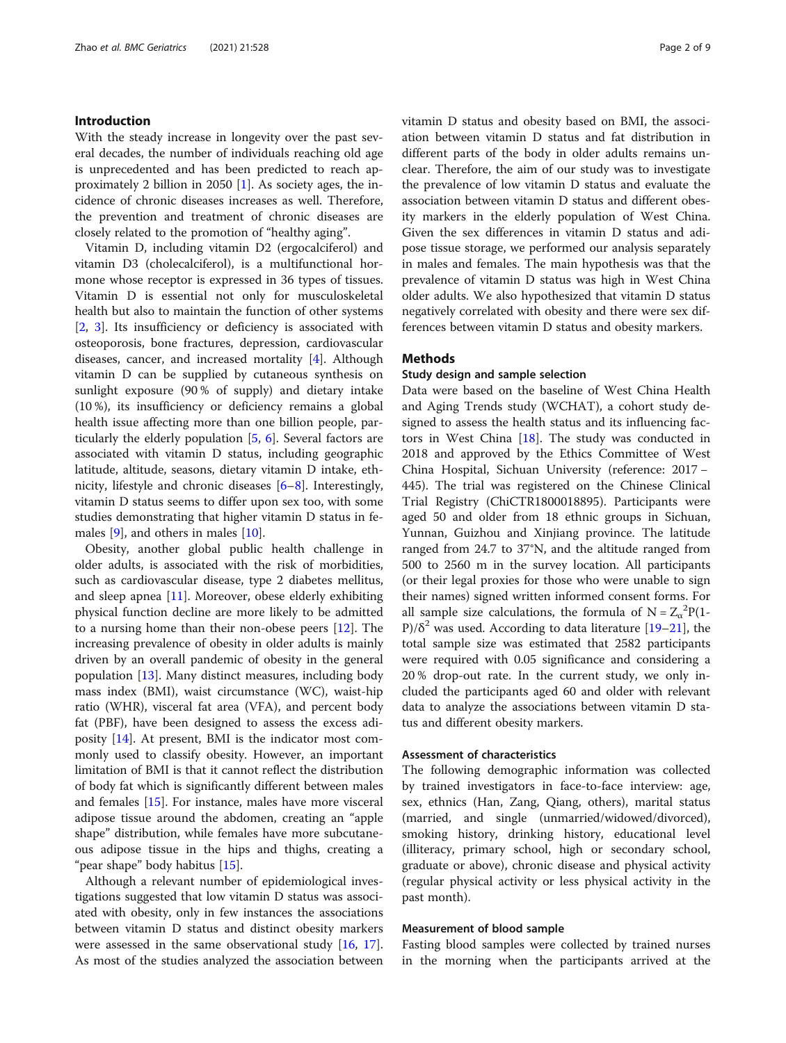# Introduction

With the steady increase in longevity over the past several decades, the number of individuals reaching old age is unprecedented and has been predicted to reach approximately 2 billion in 2050 [\[1](#page-7-0)]. As society ages, the incidence of chronic diseases increases as well. Therefore, the prevention and treatment of chronic diseases are closely related to the promotion of "healthy aging".

Vitamin D, including vitamin D2 (ergocalciferol) and vitamin D3 (cholecalciferol), is a multifunctional hormone whose receptor is expressed in 36 types of tissues. Vitamin D is essential not only for musculoskeletal health but also to maintain the function of other systems [[2,](#page-7-0) [3](#page-7-0)]. Its insufficiency or deficiency is associated with osteoporosis, bone fractures, depression, cardiovascular diseases, cancer, and increased mortality [\[4](#page-7-0)]. Although vitamin D can be supplied by cutaneous synthesis on sunlight exposure (90 % of supply) and dietary intake (10 %), its insufficiency or deficiency remains a global health issue affecting more than one billion people, particularly the elderly population [[5,](#page-7-0) [6](#page-7-0)]. Several factors are associated with vitamin D status, including geographic latitude, altitude, seasons, dietary vitamin D intake, ethnicity, lifestyle and chronic diseases [[6](#page-7-0)–[8](#page-7-0)]. Interestingly, vitamin D status seems to differ upon sex too, with some studies demonstrating that higher vitamin D status in females [\[9](#page-7-0)], and others in males [[10\]](#page-7-0).

Obesity, another global public health challenge in older adults, is associated with the risk of morbidities, such as cardiovascular disease, type 2 diabetes mellitus, and sleep apnea [\[11](#page-7-0)]. Moreover, obese elderly exhibiting physical function decline are more likely to be admitted to a nursing home than their non-obese peers [[12](#page-7-0)]. The increasing prevalence of obesity in older adults is mainly driven by an overall pandemic of obesity in the general population [\[13](#page-7-0)]. Many distinct measures, including body mass index (BMI), waist circumstance (WC), waist-hip ratio (WHR), visceral fat area (VFA), and percent body fat (PBF), have been designed to assess the excess adiposity [[14\]](#page-7-0). At present, BMI is the indicator most commonly used to classify obesity. However, an important limitation of BMI is that it cannot reflect the distribution of body fat which is significantly different between males and females [\[15](#page-7-0)]. For instance, males have more visceral adipose tissue around the abdomen, creating an "apple shape" distribution, while females have more subcutaneous adipose tissue in the hips and thighs, creating a "pear shape" body habitus [\[15\]](#page-7-0).

Although a relevant number of epidemiological investigations suggested that low vitamin D status was associated with obesity, only in few instances the associations between vitamin D status and distinct obesity markers were assessed in the same observational study  $[16, 17]$  $[16, 17]$  $[16, 17]$  $[16, 17]$ . As most of the studies analyzed the association between vitamin D status and obesity based on BMI, the association between vitamin D status and fat distribution in different parts of the body in older adults remains unclear. Therefore, the aim of our study was to investigate the prevalence of low vitamin D status and evaluate the association between vitamin D status and different obesity markers in the elderly population of West China. Given the sex differences in vitamin D status and adipose tissue storage, we performed our analysis separately in males and females. The main hypothesis was that the prevalence of vitamin D status was high in West China older adults. We also hypothesized that vitamin D status negatively correlated with obesity and there were sex differences between vitamin D status and obesity markers.

# Methods

# Study design and sample selection

Data were based on the baseline of West China Health and Aging Trends study (WCHAT), a cohort study designed to assess the health status and its influencing factors in West China [\[18\]](#page-7-0). The study was conducted in 2018 and approved by the Ethics Committee of West China Hospital, Sichuan University (reference: 2017 − 445). The trial was registered on the Chinese Clinical Trial Registry (ChiCTR1800018895). Participants were aged 50 and older from 18 ethnic groups in Sichuan, Yunnan, Guizhou and Xinjiang province. The latitude ranged from 24.7 to 37°N, and the altitude ranged from 500 to 2560 m in the survey location. All participants (or their legal proxies for those who were unable to sign their names) signed written informed consent forms. For all sample size calculations, the formula of  $N = Z_\alpha^2 P(1 -$ P)/ $\delta^2$  was used. According to data literature [[19](#page-7-0)–[21](#page-7-0)], the total sample size was estimated that 2582 participants were required with 0.05 significance and considering a 20 % drop-out rate. In the current study, we only included the participants aged 60 and older with relevant data to analyze the associations between vitamin D status and different obesity markers.

# Assessment of characteristics

The following demographic information was collected by trained investigators in face-to-face interview: age, sex, ethnics (Han, Zang, Qiang, others), marital status (married, and single (unmarried/widowed/divorced), smoking history, drinking history, educational level (illiteracy, primary school, high or secondary school, graduate or above), chronic disease and physical activity (regular physical activity or less physical activity in the past month).

#### Measurement of blood sample

Fasting blood samples were collected by trained nurses in the morning when the participants arrived at the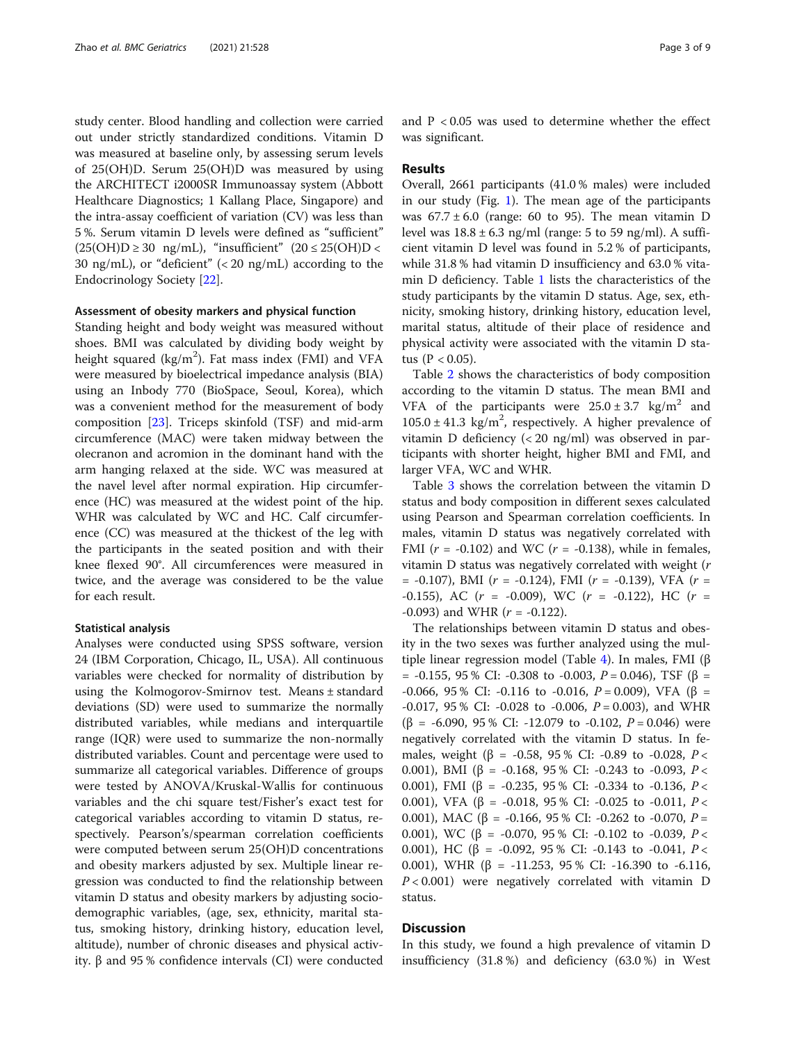study center. Blood handling and collection were carried out under strictly standardized conditions. Vitamin D was measured at baseline only, by assessing serum levels of 25(OH)D. Serum 25(OH)D was measured by using the ARCHITECT i2000SR Immunoassay system (Abbott Healthcare Diagnostics; 1 Kallang Place, Singapore) and the intra-assay coefficient of variation (CV) was less than 5 %. Serum vitamin D levels were defined as "sufficient"  $(25(OH)D \ge 30$  ng/mL), "insufficient"  $(20 \le 25(OH)D <$ 30 ng/mL), or "deficient" (< 20 ng/mL) according to the Endocrinology Society [[22\]](#page-7-0).

#### Assessment of obesity markers and physical function

Standing height and body weight was measured without shoes. BMI was calculated by dividing body weight by height squared (kg/m<sup>2</sup>). Fat mass index (FMI) and VFA were measured by bioelectrical impedance analysis (BIA) using an Inbody 770 (BioSpace, Seoul, Korea), which was a convenient method for the measurement of body composition [\[23](#page-7-0)]. Triceps skinfold (TSF) and mid-arm circumference (MAC) were taken midway between the olecranon and acromion in the dominant hand with the arm hanging relaxed at the side. WC was measured at the navel level after normal expiration. Hip circumference (HC) was measured at the widest point of the hip. WHR was calculated by WC and HC. Calf circumference (CC) was measured at the thickest of the leg with the participants in the seated position and with their knee flexed 90°. All circumferences were measured in twice, and the average was considered to be the value for each result.

#### Statistical analysis

Analyses were conducted using SPSS software, version 24 (IBM Corporation, Chicago, IL, USA). All continuous variables were checked for normality of distribution by using the Kolmogorov-Smirnov test. Means ± standard deviations (SD) were used to summarize the normally distributed variables, while medians and interquartile range (IQR) were used to summarize the non-normally distributed variables. Count and percentage were used to summarize all categorical variables. Difference of groups were tested by ANOVA/Kruskal-Wallis for continuous variables and the chi square test/Fisher's exact test for categorical variables according to vitamin D status, respectively. Pearson's/spearman correlation coefficients were computed between serum 25(OH)D concentrations and obesity markers adjusted by sex. Multiple linear regression was conducted to find the relationship between vitamin D status and obesity markers by adjusting sociodemographic variables, (age, sex, ethnicity, marital status, smoking history, drinking history, education level, altitude), number of chronic diseases and physical activity. β and 95 % confidence intervals (CI) were conducted and P < 0.05 was used to determine whether the effect was significant.

#### Results

Overall, 2661 participants (41.0 % males) were included in our study (Fig. [1\)](#page-3-0). The mean age of the participants was  $67.7 \pm 6.0$  (range: 60 to 95). The mean vitamin D level was  $18.8 \pm 6.3$  ng/ml (range: 5 to 59 ng/ml). A sufficient vitamin D level was found in 5.2 % of participants, while 31.8 % had vitamin D insufficiency and 63.0 % vitamin D deficiency. Table [1](#page-4-0) lists the characteristics of the study participants by the vitamin D status. Age, sex, ethnicity, smoking history, drinking history, education level, marital status, altitude of their place of residence and physical activity were associated with the vitamin D status ( $P < 0.05$ ).

Table [2](#page-5-0) shows the characteristics of body composition according to the vitamin D status. The mean BMI and VFA of the participants were  $25.0 \pm 3.7$  kg/m<sup>2</sup> and  $105.0 \pm 41.3$  kg/m<sup>2</sup>, respectively. A higher prevalence of vitamin D deficiency (< 20 ng/ml) was observed in participants with shorter height, higher BMI and FMI, and larger VFA, WC and WHR.

Table [3](#page-5-0) shows the correlation between the vitamin D status and body composition in different sexes calculated using Pearson and Spearman correlation coefficients. In males, vitamin D status was negatively correlated with FMI ( $r = -0.102$ ) and WC ( $r = -0.138$ ), while in females, vitamin D status was negatively correlated with weight (r  $= -0.107$ ), BMI ( $r = -0.124$ ), FMI ( $r = -0.139$ ), VFA ( $r =$  $-0.155$ ), AC ( $r = -0.009$ ), WC ( $r = -0.122$ ), HC ( $r =$  $-0.093$ ) and WHR ( $r = -0.122$ ).

The relationships between vitamin D status and obesity in the two sexes was further analyzed using the multiple linear regression model (Table [4](#page-6-0)). In males, FMI (β = -0.155, 95 % CI: -0.308 to -0.003,  $P = 0.046$ ), TSF (β = -0.066, 95 % CI: -0.116 to -0.016,  $P = 0.009$ ), VFA (β =  $-0.017$ , 95 % CI:  $-0.028$  to  $-0.006$ ,  $P = 0.003$ ), and WHR  $(β = -6.090, 95 % CI: -12.079 to -0.102, P = 0.046)$  were negatively correlated with the vitamin D status. In females, weight (β = -0.58, 95 % CI: -0.89 to -0.028,  $P <$ 0.001), BMI ( $\beta$  = -0.168, 95 % CI: -0.243 to -0.093, P < 0.001), FMI (β = -0.235, 95 % CI: -0.334 to -0.136,  $P <$ 0.001), VFA (β = -0.018, 95 % CI: -0.025 to -0.011,  $P \lt \theta$ 0.001), MAC (β = -0.166, 95 % CI: -0.262 to -0.070,  $P =$ 0.001), WC (β = -0.070, 95 % CI: -0.102 to -0.039,  $P <$ 0.001), HC (β = -0.092, 95 % CI: -0.143 to -0.041,  $P <$ 0.001), WHR (β = -11.253, 95 % CI: -16.390 to -6.116,  $P < 0.001$ ) were negatively correlated with vitamin D status.

# **Discussion**

In this study, we found a high prevalence of vitamin D insufficiency (31.8 %) and deficiency (63.0 %) in West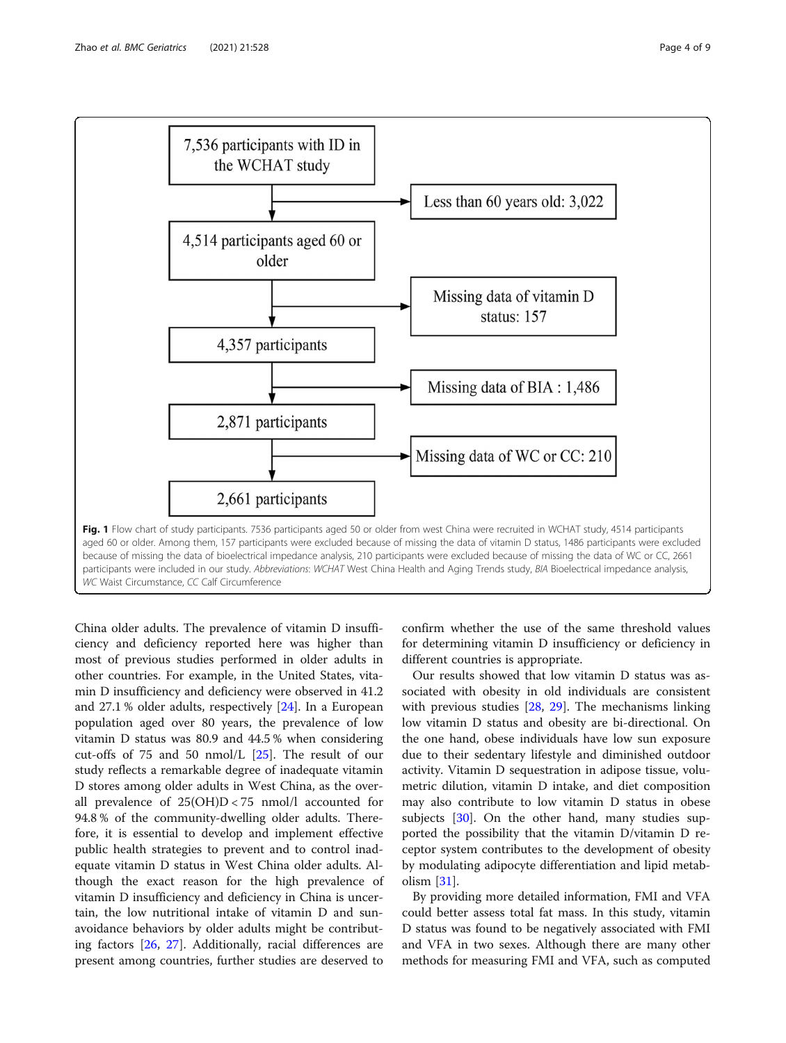<span id="page-3-0"></span>

China older adults. The prevalence of vitamin D insufficiency and deficiency reported here was higher than most of previous studies performed in older adults in other countries. For example, in the United States, vitamin D insufficiency and deficiency were observed in 41.2 and 27.1 % older adults, respectively [[24\]](#page-7-0). In a European population aged over 80 years, the prevalence of low vitamin D status was 80.9 and 44.5 % when considering cut-offs of 75 and 50 nmol/L [\[25\]](#page-7-0). The result of our study reflects a remarkable degree of inadequate vitamin D stores among older adults in West China, as the overall prevalence of  $25(OH)D < 75$  nmol/l accounted for 94.8 % of the community-dwelling older adults. Therefore, it is essential to develop and implement effective public health strategies to prevent and to control inadequate vitamin D status in West China older adults. Although the exact reason for the high prevalence of vitamin D insufficiency and deficiency in China is uncertain, the low nutritional intake of vitamin D and sunavoidance behaviors by older adults might be contributing factors [\[26](#page-7-0), [27\]](#page-7-0). Additionally, racial differences are present among countries, further studies are deserved to

confirm whether the use of the same threshold values for determining vitamin D insufficiency or deficiency in different countries is appropriate.

Our results showed that low vitamin D status was associated with obesity in old individuals are consistent with previous studies [[28](#page-7-0), [29](#page-7-0)]. The mechanisms linking low vitamin D status and obesity are bi-directional. On the one hand, obese individuals have low sun exposure due to their sedentary lifestyle and diminished outdoor activity. Vitamin D sequestration in adipose tissue, volumetric dilution, vitamin D intake, and diet composition may also contribute to low vitamin D status in obese subjects [[30\]](#page-7-0). On the other hand, many studies supported the possibility that the vitamin D/vitamin D receptor system contributes to the development of obesity by modulating adipocyte differentiation and lipid metabolism [[31\]](#page-7-0).

By providing more detailed information, FMI and VFA could better assess total fat mass. In this study, vitamin D status was found to be negatively associated with FMI and VFA in two sexes. Although there are many other methods for measuring FMI and VFA, such as computed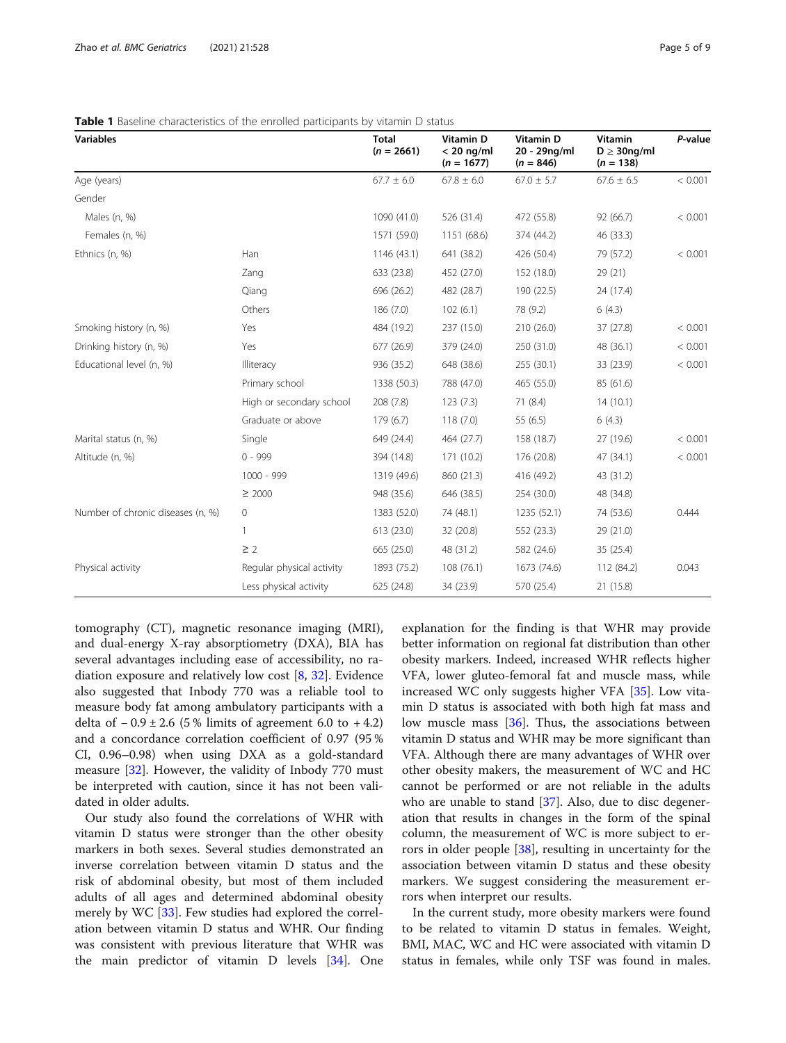| <b>Variables</b>                  |                           | <b>Total</b><br>$(n = 2661)$ | <b>Vitamin D</b><br>$< 20$ ng/ml<br>$(n = 1677)$ | <b>Vitamin D</b><br>20 - 29ng/ml<br>$(n = 846)$ | <b>Vitamin</b><br>$D \geq 30$ ng/ml<br>$(n = 138)$ | P-value |
|-----------------------------------|---------------------------|------------------------------|--------------------------------------------------|-------------------------------------------------|----------------------------------------------------|---------|
| Age (years)                       |                           | $67.7 \pm 6.0$               | $67.8 \pm 6.0$                                   | $67.0 \pm 5.7$                                  | $67.6 \pm 6.5$                                     | < 0.001 |
| Gender                            |                           |                              |                                                  |                                                 |                                                    |         |
| Males (n, %)                      |                           | 1090 (41.0)                  | 526 (31.4)                                       | 472 (55.8)                                      | 92 (66.7)                                          | < 0.001 |
| Females (n, %)                    |                           | 1571 (59.0)                  | 1151 (68.6)                                      | 374 (44.2)                                      | 46 (33.3)                                          |         |
| Ethnics (n, %)                    | Han                       | 1146 (43.1)                  | 641 (38.2)                                       | 426 (50.4)                                      | 79 (57.2)                                          | < 0.001 |
|                                   | Zang                      | 633 (23.8)                   | 452 (27.0)                                       | 152 (18.0)                                      | 29 (21)                                            |         |
|                                   | Qiang                     | 696 (26.2)                   | 482 (28.7)                                       | 190 (22.5)                                      | 24 (17.4)                                          |         |
|                                   | Others                    | 186 (7.0)                    | 102(6.1)                                         | 78 (9.2)                                        | 6(4.3)                                             |         |
| Smoking history (n, %)            | Yes                       | 484 (19.2)                   | 237 (15.0)                                       | 210 (26.0)                                      | 37 (27.8)                                          | < 0.001 |
| Drinking history (n, %)           | Yes                       | 677 (26.9)                   | 379 (24.0)                                       | 250 (31.0)                                      | 48 (36.1)                                          | < 0.001 |
| Educational level (n, %)          | Illiteracy                | 936 (35.2)                   | 648 (38.6)                                       | 255 (30.1)                                      | 33 (23.9)                                          | < 0.001 |
|                                   | Primary school            | 1338 (50.3)                  | 788 (47.0)                                       | 465 (55.0)                                      | 85 (61.6)                                          |         |
|                                   | High or secondary school  | 208 (7.8)                    | 123(7.3)                                         | 71(8.4)                                         | 14(10.1)                                           |         |
|                                   | Graduate or above         | 179(6.7)                     | 118(7.0)                                         | 55 (6.5)                                        | 6(4.3)                                             |         |
| Marital status (n, %)             | Single                    | 649 (24.4)                   | 464 (27.7)                                       | 158 (18.7)                                      | 27 (19.6)                                          | < 0.001 |
| Altitude (n, %)                   | $0 - 999$                 | 394 (14.8)                   | 171 (10.2)                                       | 176 (20.8)                                      | 47 (34.1)                                          | < 0.001 |
|                                   | $1000 - 999$              | 1319 (49.6)                  | 860 (21.3)                                       | 416 (49.2)                                      | 43 (31.2)                                          |         |
|                                   | $\geq 2000$               | 948 (35.6)                   | 646 (38.5)                                       | 254 (30.0)                                      | 48 (34.8)                                          |         |
| Number of chronic diseases (n, %) | 0                         | 1383 (52.0)                  | 74 (48.1)                                        | 1235 (52.1)                                     | 74 (53.6)                                          | 0.444   |
|                                   | 1                         | 613 (23.0)                   | 32 (20.8)                                        | 552 (23.3)                                      | 29 (21.0)                                          |         |
|                                   | $\geq$ 2                  | 665 (25.0)                   | 48 (31.2)                                        | 582 (24.6)                                      | 35 (25.4)                                          |         |
| Physical activity                 | Regular physical activity | 1893 (75.2)                  | 108 (76.1)                                       | 1673 (74.6)                                     | 112 (84.2)                                         | 0.043   |
|                                   | Less physical activity    | 625 (24.8)                   | 34 (23.9)                                        | 570 (25.4)                                      | 21 (15.8)                                          |         |

<span id="page-4-0"></span>Table 1 Baseline characteristics of the enrolled participants by vitamin D status

tomography (CT), magnetic resonance imaging (MRI), and dual-energy X-ray absorptiometry (DXA), BIA has several advantages including ease of accessibility, no radiation exposure and relatively low cost [[8,](#page-7-0) [32\]](#page-8-0). Evidence also suggested that Inbody 770 was a reliable tool to measure body fat among ambulatory participants with a delta of  $-0.9 \pm 2.6$  (5 % limits of agreement 6.0 to  $+4.2$ ) and a concordance correlation coefficient of 0.97 (95 % CI, 0.96–0.98) when using DXA as a gold-standard measure [[32](#page-8-0)]. However, the validity of Inbody 770 must be interpreted with caution, since it has not been validated in older adults.

Our study also found the correlations of WHR with vitamin D status were stronger than the other obesity markers in both sexes. Several studies demonstrated an inverse correlation between vitamin D status and the risk of abdominal obesity, but most of them included adults of all ages and determined abdominal obesity merely by WC [\[33](#page-8-0)]. Few studies had explored the correlation between vitamin D status and WHR. Our finding was consistent with previous literature that WHR was the main predictor of vitamin D levels [[34](#page-8-0)]. One

explanation for the finding is that WHR may provide better information on regional fat distribution than other obesity markers. Indeed, increased WHR reflects higher VFA, lower gluteo-femoral fat and muscle mass, while increased WC only suggests higher VFA [\[35](#page-8-0)]. Low vitamin D status is associated with both high fat mass and low muscle mass [[36\]](#page-8-0). Thus, the associations between vitamin D status and WHR may be more significant than VFA. Although there are many advantages of WHR over other obesity makers, the measurement of WC and HC cannot be performed or are not reliable in the adults who are unable to stand [[37](#page-8-0)]. Also, due to disc degeneration that results in changes in the form of the spinal column, the measurement of WC is more subject to errors in older people [[38\]](#page-8-0), resulting in uncertainty for the association between vitamin D status and these obesity markers. We suggest considering the measurement errors when interpret our results.

In the current study, more obesity markers were found to be related to vitamin D status in females. Weight, BMI, MAC, WC and HC were associated with vitamin D status in females, while only TSF was found in males.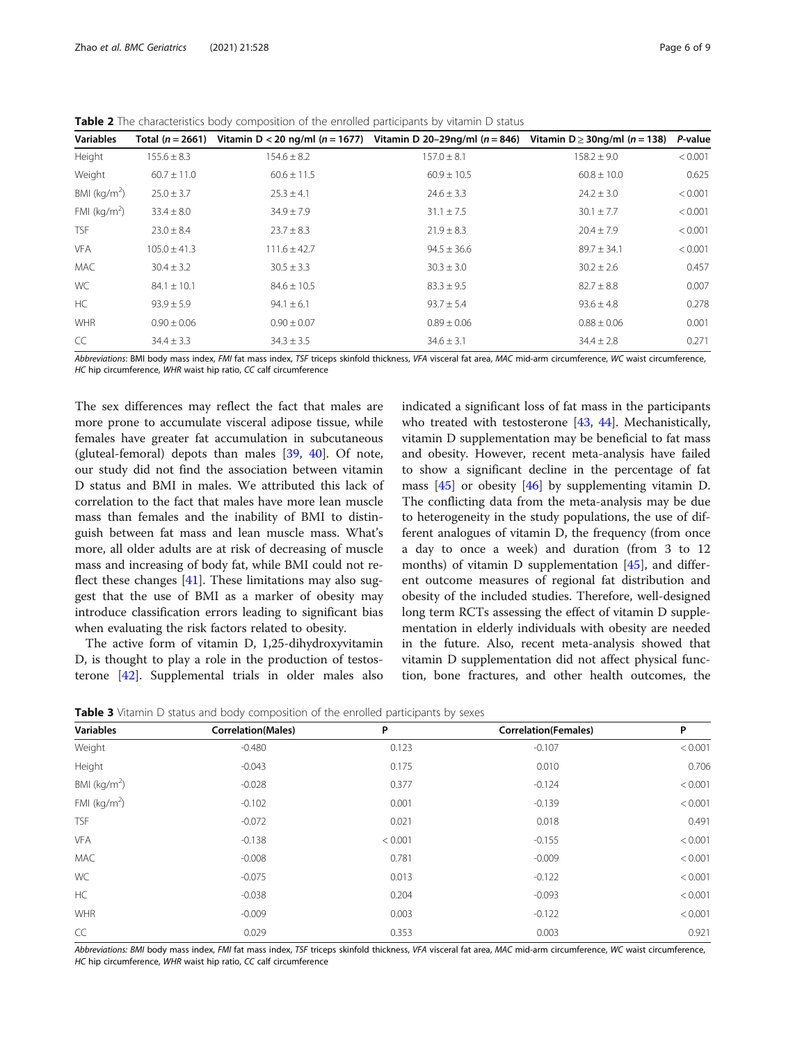<span id="page-5-0"></span>Table 2 The characteristics body composition of the enrolled participants by vitamin D status

| <b>Variables</b> | Total $(n = 2661)$ |                  | Vitamin D < 20 ng/ml (n = 1677) Vitamin D 20-29ng/ml (n = 846) | Vitamin D $\geq$ 30ng/ml (n = 138) | P-value |
|------------------|--------------------|------------------|----------------------------------------------------------------|------------------------------------|---------|
| Height           | $155.6 \pm 8.3$    | $154.6 \pm 8.2$  | $157.0 \pm 8.1$                                                | $158.2 \pm 9.0$                    | < 0.001 |
| Weight           | $60.7 \pm 11.0$    | $60.6 \pm 11.5$  | $60.9 \pm 10.5$                                                | $60.8 \pm 10.0$                    | 0.625   |
| BMI ( $kg/m2$ )  | $25.0 \pm 3.7$     | $25.3 \pm 4.1$   | $24.6 \pm 3.3$                                                 | $24.2 \pm 3.0$                     | < 0.001 |
| FMI ( $kg/m2$ )  | $33.4 \pm 8.0$     | $34.9 \pm 7.9$   | $31.1 \pm 7.5$                                                 | $30.1 \pm 7.7$                     | < 0.001 |
| <b>TSF</b>       | $23.0 \pm 8.4$     | $23.7 \pm 8.3$   | $21.9 \pm 8.3$                                                 | $20.4 \pm 7.9$                     | < 0.001 |
| <b>VFA</b>       | $105.0 \pm 41.3$   | $111.6 \pm 42.7$ | $94.5 \pm 36.6$                                                | $89.7 \pm 34.1$                    | < 0.001 |
| <b>MAC</b>       | $30.4 \pm 3.2$     | $30.5 \pm 3.3$   | $30.3 \pm 3.0$                                                 | $30.2 \pm 2.6$                     | 0.457   |
| WC               | $84.1 \pm 10.1$    | $84.6 \pm 10.5$  | $83.3 \pm 9.5$                                                 | $82.7 \pm 8.8$                     | 0.007   |
| HC               | $93.9 \pm 5.9$     | $94.1 \pm 6.1$   | $93.7 \pm 5.4$                                                 | $93.6 \pm 4.8$                     | 0.278   |
| <b>WHR</b>       | $0.90 \pm 0.06$    | $0.90 \pm 0.07$  | $0.89 \pm 0.06$                                                | $0.88 \pm 0.06$                    | 0.001   |
| CC               | $34.4 \pm 3.3$     | $34.3 \pm 3.5$   | $34.6 \pm 3.1$                                                 | $34.4 \pm 2.8$                     | 0.271   |

Abbreviations: BMI body mass index, FMI fat mass index, TSF triceps skinfold thickness, VFA visceral fat area, MAC mid-arm circumference, WC waist circumference, HC hip circumference, WHR waist hip ratio, CC calf circumference

The sex differences may reflect the fact that males are more prone to accumulate visceral adipose tissue, while females have greater fat accumulation in subcutaneous (gluteal-femoral) depots than males [\[39,](#page-8-0) [40](#page-8-0)]. Of note, our study did not find the association between vitamin D status and BMI in males. We attributed this lack of correlation to the fact that males have more lean muscle mass than females and the inability of BMI to distinguish between fat mass and lean muscle mass. What's more, all older adults are at risk of decreasing of muscle mass and increasing of body fat, while BMI could not reflect these changes  $[41]$  $[41]$ . These limitations may also suggest that the use of BMI as a marker of obesity may introduce classification errors leading to significant bias when evaluating the risk factors related to obesity.

The active form of vitamin D, 1,25-dihydroxyvitamin D, is thought to play a role in the production of testosterone [[42](#page-8-0)]. Supplemental trials in older males also indicated a significant loss of fat mass in the participants who treated with testosterone [[43](#page-8-0), [44\]](#page-8-0). Mechanistically, vitamin D supplementation may be beneficial to fat mass and obesity. However, recent meta-analysis have failed to show a significant decline in the percentage of fat mass [\[45](#page-8-0)] or obesity [[46](#page-8-0)] by supplementing vitamin D. The conflicting data from the meta-analysis may be due to heterogeneity in the study populations, the use of different analogues of vitamin D, the frequency (from once a day to once a week) and duration (from 3 to 12 months) of vitamin D supplementation  $[45]$  $[45]$  $[45]$ , and different outcome measures of regional fat distribution and obesity of the included studies. Therefore, well-designed long term RCTs assessing the effect of vitamin D supplementation in elderly individuals with obesity are needed in the future. Also, recent meta-analysis showed that vitamin D supplementation did not affect physical function, bone fractures, and other health outcomes, the

Table 3 Vitamin D status and body composition of the enrolled participants by sexes

| <b>Correlation(Females)</b><br>P<br>< 0.001<br>$-0.107$ |
|---------------------------------------------------------|
|                                                         |
|                                                         |
| 0.706<br>0.010                                          |
| < 0.001<br>$-0.124$                                     |
| < 0.001<br>$-0.139$                                     |
| 0.491<br>0.018                                          |
| < 0.001<br>$-0.155$                                     |
| < 0.001<br>$-0.009$                                     |
| < 0.001<br>$-0.122$                                     |
| < 0.001<br>$-0.093$                                     |
| < 0.001<br>$-0.122$                                     |
| 0.921<br>0.003                                          |
|                                                         |

Abbreviations: BMI body mass index, FMI fat mass index, TSF triceps skinfold thickness, VFA visceral fat area, MAC mid-arm circumference, WC waist circumference, HC hip circumference, WHR waist hip ratio, CC calf circumference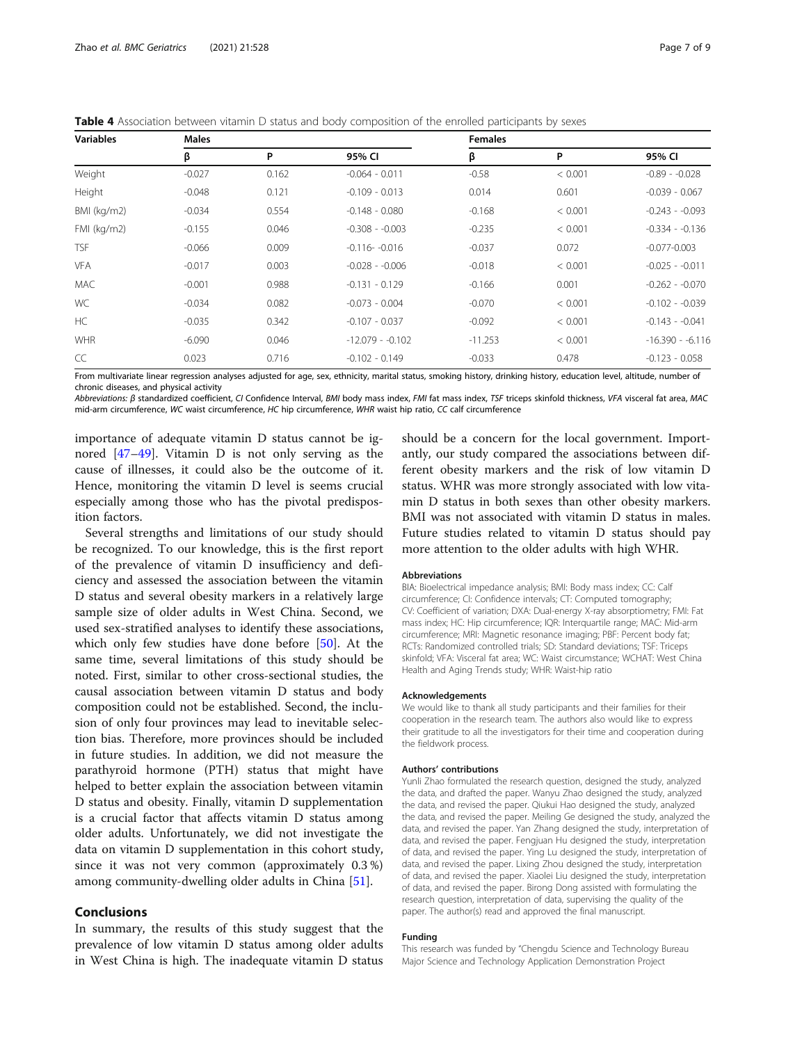<span id="page-6-0"></span>Table 4 Association between vitamin D status and body composition of the enrolled participants by sexes

| <b>Variables</b> | <b>Males</b> |       |                   | <b>Females</b> |         |                   |  |
|------------------|--------------|-------|-------------------|----------------|---------|-------------------|--|
|                  | β            | P     | 95% CI            | β              | P       | 95% CI            |  |
| Weight           | $-0.027$     | 0.162 | $-0.064 - 0.011$  | $-0.58$        | < 0.001 | $-0.89 - 0.028$   |  |
| Height           | $-0.048$     | 0.121 | $-0.109 - 0.013$  | 0.014          | 0.601   | $-0.039 - 0.067$  |  |
| BMI (kg/m2)      | $-0.034$     | 0.554 | $-0.148 - 0.080$  | $-0.168$       | < 0.001 | $-0.243 - 0.093$  |  |
| $FMI$ (kg/m2)    | $-0.155$     | 0.046 | $-0.308 - 0.003$  | $-0.235$       | < 0.001 | $-0.334 - 0.136$  |  |
| <b>TSF</b>       | $-0.066$     | 0.009 | $-0.116 - -0.016$ | $-0.037$       | 0.072   | $-0.077 - 0.003$  |  |
| <b>VFA</b>       | $-0.017$     | 0.003 | $-0.028 - 0.006$  | $-0.018$       | < 0.001 | $-0.025 - 0.011$  |  |
| <b>MAC</b>       | $-0.001$     | 0.988 | $-0.131 - 0.129$  | $-0.166$       | 0.001   | $-0.262 - 0.070$  |  |
| <b>WC</b>        | $-0.034$     | 0.082 | $-0.073 - 0.004$  | $-0.070$       | < 0.001 | $-0.102 - 0.039$  |  |
| HC               | $-0.035$     | 0.342 | $-0.107 - 0.037$  | $-0.092$       | < 0.001 | $-0.143 - 0.041$  |  |
| <b>WHR</b>       | $-6.090$     | 0.046 | $-12.079 - 0.102$ | $-11.253$      | < 0.001 | $-16.390 - 6.116$ |  |
| CC               | 0.023        | 0.716 | $-0.102 - 0.149$  | $-0.033$       | 0.478   | $-0.123 - 0.058$  |  |

From multivariate linear regression analyses adjusted for age, sex, ethnicity, marital status, smoking history, drinking history, education level, altitude, number of chronic diseases, and physical activity

Abbreviations: β standardized coefficient, CI Confidence Interval, BMI body mass index, FMI fat mass index, TSF triceps skinfold thickness, VFA visceral fat area, MAC mid-arm circumference, WC waist circumference, HC hip circumference, WHR waist hip ratio, CC calf circumference

importance of adequate vitamin D status cannot be ignored [\[47](#page-8-0)–[49\]](#page-8-0). Vitamin D is not only serving as the cause of illnesses, it could also be the outcome of it. Hence, monitoring the vitamin D level is seems crucial especially among those who has the pivotal predisposition factors.

Several strengths and limitations of our study should be recognized. To our knowledge, this is the first report of the prevalence of vitamin D insufficiency and deficiency and assessed the association between the vitamin D status and several obesity markers in a relatively large sample size of older adults in West China. Second, we used sex-stratified analyses to identify these associations, which only few studies have done before [[50](#page-8-0)]. At the same time, several limitations of this study should be noted. First, similar to other cross-sectional studies, the causal association between vitamin D status and body composition could not be established. Second, the inclusion of only four provinces may lead to inevitable selection bias. Therefore, more provinces should be included in future studies. In addition, we did not measure the parathyroid hormone (PTH) status that might have helped to better explain the association between vitamin D status and obesity. Finally, vitamin D supplementation is a crucial factor that affects vitamin D status among older adults. Unfortunately, we did not investigate the data on vitamin D supplementation in this cohort study, since it was not very common (approximately 0.3 %) among community-dwelling older adults in China [[51](#page-8-0)].

### Conclusions

In summary, the results of this study suggest that the prevalence of low vitamin D status among older adults in West China is high. The inadequate vitamin D status

should be a concern for the local government. Importantly, our study compared the associations between different obesity markers and the risk of low vitamin D status. WHR was more strongly associated with low vitamin D status in both sexes than other obesity markers. BMI was not associated with vitamin D status in males. Future studies related to vitamin D status should pay more attention to the older adults with high WHR.

#### **Abbreviations**

BIA: Bioelectrical impedance analysis; BMI: Body mass index; CC: Calf circumference; CI: Confidence intervals; CT: Computed tomography; CV: Coefficient of variation; DXA: Dual-energy X-ray absorptiometry; FMI: Fat mass index; HC: Hip circumference; IQR: Interquartile range; MAC: Mid-arm circumference; MRI: Magnetic resonance imaging; PBF: Percent body fat; RCTs: Randomized controlled trials; SD: Standard deviations; TSF: Triceps skinfold; VFA: Visceral fat area; WC: Waist circumstance; WCHAT: West China Health and Aging Trends study; WHR: Waist-hip ratio

#### Acknowledgements

We would like to thank all study participants and their families for their cooperation in the research team. The authors also would like to express their gratitude to all the investigators for their time and cooperation during the fieldwork process.

## Authors' contributions

Yunli Zhao formulated the research question, designed the study, analyzed the data, and drafted the paper. Wanyu Zhao designed the study, analyzed the data, and revised the paper. Qiukui Hao designed the study, analyzed the data, and revised the paper. Meiling Ge designed the study, analyzed the data, and revised the paper. Yan Zhang designed the study, interpretation of data, and revised the paper. Fengjuan Hu designed the study, interpretation of data, and revised the paper. Ying Lu designed the study, interpretation of data, and revised the paper. Lixing Zhou designed the study, interpretation of data, and revised the paper. Xiaolei Liu designed the study, interpretation of data, and revised the paper. Birong Dong assisted with formulating the research question, interpretation of data, supervising the quality of the paper. The author(s) read and approved the final manuscript.

#### Funding

This research was funded by "Chengdu Science and Technology Bureau Major Science and Technology Application Demonstration Project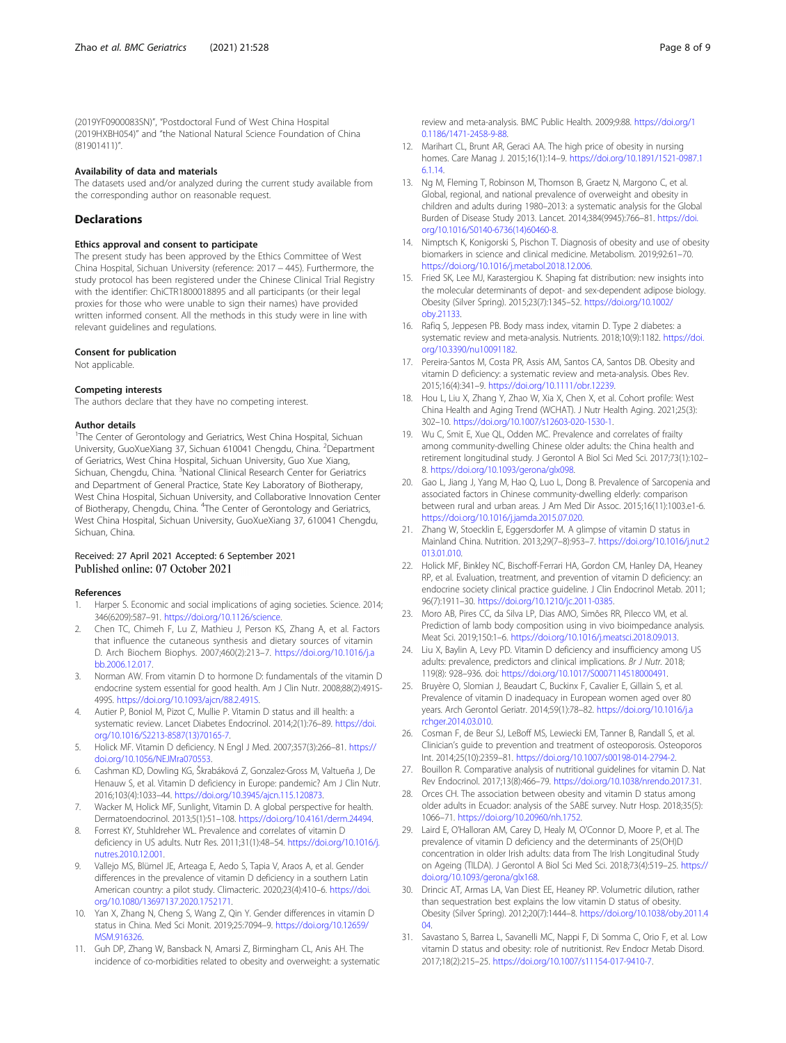<span id="page-7-0"></span>(2019YF0900083SN)", "Postdoctoral Fund of West China Hospital (2019HXBH054)" and "the National Natural Science Foundation of China (81901411)".

#### Availability of data and materials

The datasets used and/or analyzed during the current study available from the corresponding author on reasonable request.

#### **Declarations**

# Ethics approval and consent to participate

The present study has been approved by the Ethics Committee of West China Hospital, Sichuan University (reference: 2017 − 445). Furthermore, the study protocol has been registered under the Chinese Clinical Trial Registry with the identifier: ChiCTR1800018895 and all participants (or their legal proxies for those who were unable to sign their names) have provided written informed consent. All the methods in this study were in line with relevant guidelines and regulations.

#### Consent for publication

Not applicable.

#### Competing interests

The authors declare that they have no competing interest.

#### Author details

<sup>1</sup>The Center of Gerontology and Geriatrics, West China Hospital, Sichuan University, GuoXueXiang 37, Sichuan 610041 Chengdu, China. <sup>2</sup>Department of Geriatrics, West China Hospital, Sichuan University, Guo Xue Xiang, Sichuan, Chengdu, China. <sup>3</sup>National Clinical Research Center for Geriatrics and Department of General Practice, State Key Laboratory of Biotherapy, West China Hospital, Sichuan University, and Collaborative Innovation Center of Biotherapy, Chengdu, China. <sup>4</sup>The Center of Gerontology and Geriatrics, West China Hospital, Sichuan University, GuoXueXiang 37, 610041 Chengdu, Sichuan, China.

#### Received: 27 April 2021 Accepted: 6 September 2021 Published online: 07 October 2021

#### References

- 1. Harper S. Economic and social implications of aging societies. Science. 2014; 346(6209):587–91. [https://doi.org/10.1126/science.](https://doi.org/10.1126/science)
- 2. Chen TC, Chimeh F, Lu Z, Mathieu J, Person KS, Zhang A, et al. Factors that influence the cutaneous synthesis and dietary sources of vitamin D. Arch Biochem Biophys. 2007;460(2):213–7. [https://doi.org/10.1016/j.a](https://doi.org/10.1016/j.abb.2006.12.017) [bb.2006.12.017.](https://doi.org/10.1016/j.abb.2006.12.017)
- 3. Norman AW. From vitamin D to hormone D: fundamentals of the vitamin D endocrine system essential for good health. Am J Clin Nutr. 2008;88(2):491S-499S. [https://doi.org/10.1093/ajcn/88.2.491S.](https://doi.org/10.1093/ajcn/88.2.491S)
- 4. Autier P, Boniol M, Pizot C, Mullie P. Vitamin D status and ill health: a systematic review. Lancet Diabetes Endocrinol. 2014;2(1):76–89. [https://doi.](https://doi.org/10.1016/S2213-8587(13)70165-7) [org/10.1016/S2213-8587\(13\)70165-7.](https://doi.org/10.1016/S2213-8587(13)70165-7)
- 5. Holick MF. Vitamin D deficiency. N Engl J Med. 2007;357(3):266–81. [https://](https://doi.org/10.1056/NEJMra070553) [doi.org/10.1056/NEJMra070553.](https://doi.org/10.1056/NEJMra070553)
- 6. Cashman KD, Dowling KG, Škrabáková Z, Gonzalez-Gross M, Valtueña J, De Henauw S, et al. Vitamin D deficiency in Europe: pandemic? Am J Clin Nutr. 2016;103(4):1033–44. <https://doi.org/10.3945/ajcn.115.120873>.
- 7. Wacker M, Holick MF, Sunlight, Vitamin D. A global perspective for health. Dermatoendocrinol. 2013;5(1):51–108. [https://doi.org/10.4161/derm.24494.](https://doi.org/10.4161/derm.24494)
- Forrest KY, Stuhldreher WL. Prevalence and correlates of vitamin D deficiency in US adults. Nutr Res. 2011;31(1):48–54. [https://doi.org/10.1016/j.](https://doi.org/10.1016/j.nutres.2010.12.001) [nutres.2010.12.001.](https://doi.org/10.1016/j.nutres.2010.12.001)
- 9. Vallejo MS, Blümel JE, Arteaga E, Aedo S, Tapia V, Araos A, et al. Gender differences in the prevalence of vitamin D deficiency in a southern Latin American country: a pilot study. Climacteric. 2020;23(4):410–6. [https://doi.](https://doi.org/10.1080/13697137.2020.1752171) [org/10.1080/13697137.2020.1752171](https://doi.org/10.1080/13697137.2020.1752171).
- 10. Yan X, Zhang N, Cheng S, Wang Z, Qin Y. Gender differences in vitamin D status in China. Med Sci Monit. 2019;25:7094–9. [https://doi.org/10.12659/](https://doi.org/10.12659/MSM.916326) [MSM.916326.](https://doi.org/10.12659/MSM.916326)
- 11. Guh DP, Zhang W, Bansback N, Amarsi Z, Birmingham CL, Anis AH. The incidence of co-morbidities related to obesity and overweight: a systematic

review and meta-analysis. BMC Public Health. 2009;9:88. [https://doi.org/1](https://doi.org/10.1186/1471-2458-9-88) [0.1186/1471-2458-9-88](https://doi.org/10.1186/1471-2458-9-88).

- 12. Marihart CL, Brunt AR, Geraci AA. The high price of obesity in nursing homes. Care Manag J. 2015;16(1):14–9. [https://doi.org/10.1891/1521-0987.1](https://doi.org/10.1891/1521-0987.16.1.14) [6.1.14.](https://doi.org/10.1891/1521-0987.16.1.14)
- 13. Ng M, Fleming T, Robinson M, Thomson B, Graetz N, Margono C, et al. Global, regional, and national prevalence of overweight and obesity in children and adults during 1980–2013: a systematic analysis for the Global Burden of Disease Study 2013. Lancet. 2014;384(9945):766–81. [https://doi.](https://doi.org/10.1016/S0140-6736(14)60460-8) [org/10.1016/S0140-6736\(14\)60460-8.](https://doi.org/10.1016/S0140-6736(14)60460-8)
- 14. Nimptsch K, Konigorski S, Pischon T. Diagnosis of obesity and use of obesity biomarkers in science and clinical medicine. Metabolism. 2019;92:61–70. [https://doi.org/10.1016/j.metabol.2018.12.006.](https://doi.org/10.1016/j.metabol.2018.12.006)
- 15. Fried SK, Lee MJ, Karastergiou K. Shaping fat distribution: new insights into the molecular determinants of depot- and sex-dependent adipose biology. Obesity (Silver Spring). 2015;23(7):1345–52. [https://doi.org/10.1002/](https://doi.org/10.1002/oby.21133) [oby.21133.](https://doi.org/10.1002/oby.21133)
- 16. Rafiq S, Jeppesen PB. Body mass index, vitamin D. Type 2 diabetes: a systematic review and meta-analysis. Nutrients. 2018;10(9):1182. [https://doi.](https://doi.org/10.3390/nu10091182) [org/10.3390/nu10091182.](https://doi.org/10.3390/nu10091182)
- 17. Pereira-Santos M, Costa PR, Assis AM, Santos CA, Santos DB. Obesity and vitamin D deficiency: a systematic review and meta-analysis. Obes Rev. 2015;16(4):341–9. <https://doi.org/10.1111/obr.12239>.
- 18. Hou L, Liu X, Zhang Y, Zhao W, Xia X, Chen X, et al. Cohort profile: West China Health and Aging Trend (WCHAT). J Nutr Health Aging. 2021;25(3): 302–10. <https://doi.org/10.1007/s12603-020-1530-1>.
- 19. Wu C, Smit E, Xue QL, Odden MC. Prevalence and correlates of frailty among community-dwelling Chinese older adults: the China health and retirement longitudinal study. J Gerontol A Biol Sci Med Sci. 2017;73(1):102– 8. [https://doi.org/10.1093/gerona/glx098.](https://doi.org/10.1093/gerona/glx098)
- 20. Gao L, Jiang J, Yang M, Hao Q, Luo L, Dong B. Prevalence of Sarcopenia and associated factors in Chinese community-dwelling elderly: comparison between rural and urban areas. J Am Med Dir Assoc. 2015;16(11):1003.e1-6. <https://doi.org/10.1016/j.jamda.2015.07.020>.
- 21. Zhang W, Stoecklin E, Eggersdorfer M. A glimpse of vitamin D status in Mainland China. Nutrition. 2013;29(7–8):953–7. [https://doi.org/10.1016/j.nut.2](https://doi.org/10.1016/j.nut.2013.01.010) [013.01.010](https://doi.org/10.1016/j.nut.2013.01.010).
- 22. Holick MF, Binkley NC, Bischoff-Ferrari HA, Gordon CM, Hanley DA, Heaney RP, et al. Evaluation, treatment, and prevention of vitamin D deficiency: an endocrine society clinical practice guideline. J Clin Endocrinol Metab. 2011; 96(7):1911–30. [https://doi.org/10.1210/jc.2011-0385.](https://doi.org/10.1210/jc.2011-0385)
- 23. Moro AB, Pires CC, da Silva LP, Dias AMO, Simões RR, Pilecco VM, et al. Prediction of lamb body composition using in vivo bioimpedance analysis. Meat Sci. 2019;150:1–6. <https://doi.org/10.1016/j.meatsci.2018.09.013>.
- 24. Liu X, Baylin A, Levy PD. Vitamin D deficiency and insufficiency among US adults: prevalence, predictors and clinical implications. Br J Nutr. 2018; 119(8): 928–936. doi: <https://doi.org/10.1017/S0007114518000491>.
- 25. Bruyère O, Slomian J, Beaudart C, Buckinx F, Cavalier E, Gillain S, et al. Prevalence of vitamin D inadequacy in European women aged over 80 years. Arch Gerontol Geriatr. 2014;59(1):78–82. [https://doi.org/10.1016/j.a](https://doi.org/10.1016/j.archger.2014.03.010) [rchger.2014.03.010](https://doi.org/10.1016/j.archger.2014.03.010).
- 26. Cosman F, de Beur SJ, LeBoff MS, Lewiecki EM, Tanner B, Randall S, et al. Clinician's guide to prevention and treatment of osteoporosis. Osteoporos Int. 2014;25(10):2359–81. [https://doi.org/10.1007/s00198-014-2794-2.](https://doi.org/10.1007/s00198-014-2794-2)
- 27. Bouillon R. Comparative analysis of nutritional guidelines for vitamin D. Nat Rev Endocrinol. 2017;13(8):466–79. <https://doi.org/10.1038/nrendo.2017.31>.
- 28. Orces CH. The association between obesity and vitamin D status among older adults in Ecuador: analysis of the SABE survey. Nutr Hosp. 2018;35(5): 1066–71. <https://doi.org/10.20960/nh.1752>.
- 29. Laird E, O'Halloran AM, Carey D, Healy M, O'Connor D, Moore P, et al. The prevalence of vitamin D deficiency and the determinants of 25(OH)D concentration in older Irish adults: data from The Irish Longitudinal Study on Ageing (TILDA). J Gerontol A Biol Sci Med Sci. 2018;73(4):519–25. [https://](https://doi.org/10.1093/gerona/glx168) [doi.org/10.1093/gerona/glx168.](https://doi.org/10.1093/gerona/glx168)
- 30. Drincic AT, Armas LA, Van Diest EE, Heaney RP. Volumetric dilution, rather than sequestration best explains the low vitamin D status of obesity. Obesity (Silver Spring). 2012;20(7):1444–8. [https://doi.org/10.1038/oby.2011.4](https://doi.org/10.1038/oby.2011.404) [04.](https://doi.org/10.1038/oby.2011.404)
- 31. Savastano S, Barrea L, Savanelli MC, Nappi F, Di Somma C, Orio F, et al. Low vitamin D status and obesity: role of nutritionist. Rev Endocr Metab Disord. 2017;18(2):215–25. <https://doi.org/10.1007/s11154-017-9410-7>.